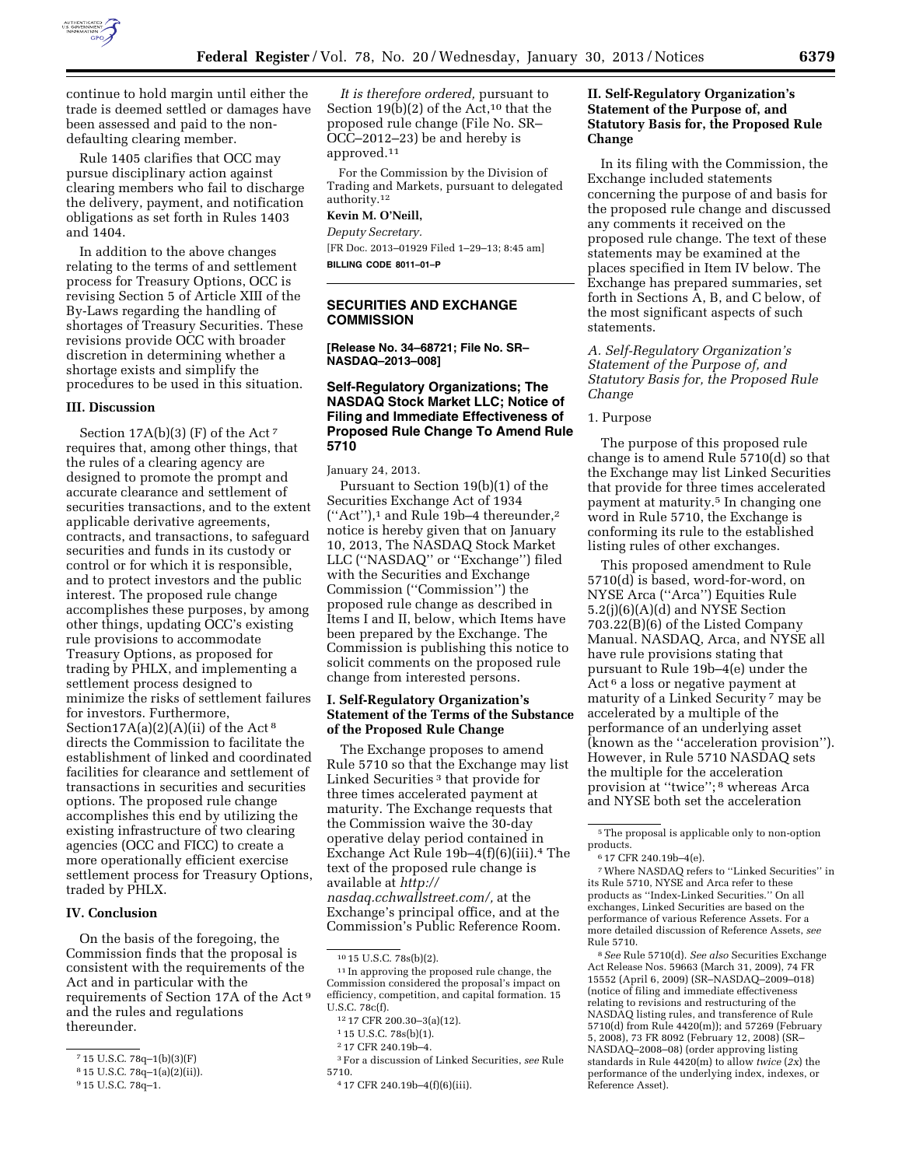

continue to hold margin until either the trade is deemed settled or damages have been assessed and paid to the nondefaulting clearing member.

Rule 1405 clarifies that OCC may pursue disciplinary action against clearing members who fail to discharge the delivery, payment, and notification obligations as set forth in Rules 1403 and 1404.

In addition to the above changes relating to the terms of and settlement process for Treasury Options, OCC is revising Section 5 of Article XIII of the By-Laws regarding the handling of shortages of Treasury Securities. These revisions provide OCC with broader discretion in determining whether a shortage exists and simplify the procedures to be used in this situation.

#### **III. Discussion**

Section 17A(b)(3) (F) of the Act 7 requires that, among other things, that the rules of a clearing agency are designed to promote the prompt and accurate clearance and settlement of securities transactions, and to the extent applicable derivative agreements, contracts, and transactions, to safeguard securities and funds in its custody or control or for which it is responsible, and to protect investors and the public interest. The proposed rule change accomplishes these purposes, by among other things, updating OCC's existing rule provisions to accommodate Treasury Options, as proposed for trading by PHLX, and implementing a settlement process designed to minimize the risks of settlement failures for investors. Furthermore, Section17A(a)(2)(A)(ii) of the Act<sup>8</sup> directs the Commission to facilitate the establishment of linked and coordinated facilities for clearance and settlement of transactions in securities and securities options. The proposed rule change accomplishes this end by utilizing the existing infrastructure of two clearing agencies (OCC and FICC) to create a more operationally efficient exercise settlement process for Treasury Options, traded by PHLX.

## **IV. Conclusion**

On the basis of the foregoing, the Commission finds that the proposal is consistent with the requirements of the Act and in particular with the requirements of Section 17A of the Act 9 and the rules and regulations thereunder.

*It is therefore ordered,* pursuant to Section 19(b)(2) of the Act,<sup>10</sup> that the proposed rule change (File No. SR– OCC–2012–23) be and hereby is approved.11

For the Commission by the Division of Trading and Markets, pursuant to delegated authority.12

#### **Kevin M. O'Neill,**

*Deputy Secretary.* 

[FR Doc. 2013–01929 Filed 1–29–13; 8:45 am] **BILLING CODE 8011–01–P** 

# **SECURITIES AND EXCHANGE COMMISSION**

**[Release No. 34–68721; File No. SR– NASDAQ–2013–008]** 

### **Self-Regulatory Organizations; The NASDAQ Stock Market LLC; Notice of Filing and Immediate Effectiveness of Proposed Rule Change To Amend Rule 5710**

January 24, 2013.

Pursuant to Section 19(b)(1) of the Securities Exchange Act of 1934  $("Act")$ ,<sup>1</sup> and Rule 19b–4 thereunder,<sup>2</sup> notice is hereby given that on January 10, 2013, The NASDAQ Stock Market LLC (''NASDAQ'' or ''Exchange'') filed with the Securities and Exchange Commission (''Commission'') the proposed rule change as described in Items I and II, below, which Items have been prepared by the Exchange. The Commission is publishing this notice to solicit comments on the proposed rule change from interested persons.

### **I. Self-Regulatory Organization's Statement of the Terms of the Substance of the Proposed Rule Change**

The Exchange proposes to amend Rule 5710 so that the Exchange may list Linked Securities 3 that provide for three times accelerated payment at maturity. The Exchange requests that the Commission waive the 30-day operative delay period contained in Exchange Act Rule 19b–4(f)(6)(iii).4 The text of the proposed rule change is available at *[http://](http://nasdaq.cchwallstreet.com/)  [nasdaq.cchwallstreet.com/,](http://nasdaq.cchwallstreet.com/)* at the Exchange's principal office, and at the Commission's Public Reference Room.

3For a discussion of Linked Securities, *see* Rule 5710.

## **II. Self-Regulatory Organization's Statement of the Purpose of, and Statutory Basis for, the Proposed Rule Change**

In its filing with the Commission, the Exchange included statements concerning the purpose of and basis for the proposed rule change and discussed any comments it received on the proposed rule change. The text of these statements may be examined at the places specified in Item IV below. The Exchange has prepared summaries, set forth in Sections A, B, and C below, of the most significant aspects of such statements.

*A. Self-Regulatory Organization's Statement of the Purpose of, and Statutory Basis for, the Proposed Rule Change* 

#### 1. Purpose

The purpose of this proposed rule change is to amend Rule 5710(d) so that the Exchange may list Linked Securities that provide for three times accelerated payment at maturity.5 In changing one word in Rule 5710, the Exchange is conforming its rule to the established listing rules of other exchanges.

This proposed amendment to Rule 5710(d) is based, word-for-word, on NYSE Arca (''Arca'') Equities Rule 5.2(j)(6)(A)(d) and NYSE Section 703.22(B)(6) of the Listed Company Manual. NASDAQ, Arca, and NYSE all have rule provisions stating that pursuant to Rule 19b–4(e) under the Act 6 a loss or negative payment at maturity of a Linked Security 7 may be accelerated by a multiple of the performance of an underlying asset (known as the ''acceleration provision''). However, in Rule 5710 NASDAQ sets the multiple for the acceleration provision at ''twice''; 8 whereas Arca and NYSE both set the acceleration

7Where NASDAQ refers to ''Linked Securities'' in its Rule 5710, NYSE and Arca refer to these products as ''Index-Linked Securities.'' On all exchanges, Linked Securities are based on the performance of various Reference Assets. For a more detailed discussion of Reference Assets, *see*  Rule 5710.

8*See* Rule 5710(d). *See also* Securities Exchange Act Release Nos. 59663 (March 31, 2009), 74 FR 15552 (April 6, 2009) (SR–NASDAQ–2009–018) (notice of filing and immediate effectiveness relating to revisions and restructuring of the NASDAQ listing rules, and transference of Rule 5710(d) from Rule 4420(m)); and 57269 (February 5, 2008), 73 FR 8092 (February 12, 2008) (SR– NASDAQ–2008–08) (order approving listing standards in Rule 4420(m) to allow *twice* (*2x*) the performance of the underlying index, indexes, or Reference Asset).

<sup>7</sup> 15 U.S.C. 78q–1(b)(3)(F)

<sup>8</sup> 15 U.S.C. 78q–1(a)(2)(ii)).

<sup>9</sup> 15 U.S.C. 78q–1.

<sup>10</sup> 15 U.S.C. 78s(b)(2).

<sup>11</sup> In approving the proposed rule change, the Commission considered the proposal's impact on efficiency, competition, and capital formation. 15 U.S.C. 78c(f).

<sup>12</sup> 17 CFR 200.30–3(a)(12).

<sup>1</sup> 15 U.S.C. 78s(b)(1).

<sup>2</sup> 17 CFR 240.19b–4.

<sup>4</sup> 17 CFR 240.19b–4(f)(6)(iii).

<sup>5</sup>The proposal is applicable only to non-option products.

<sup>6</sup> 17 CFR 240.19b–4(e).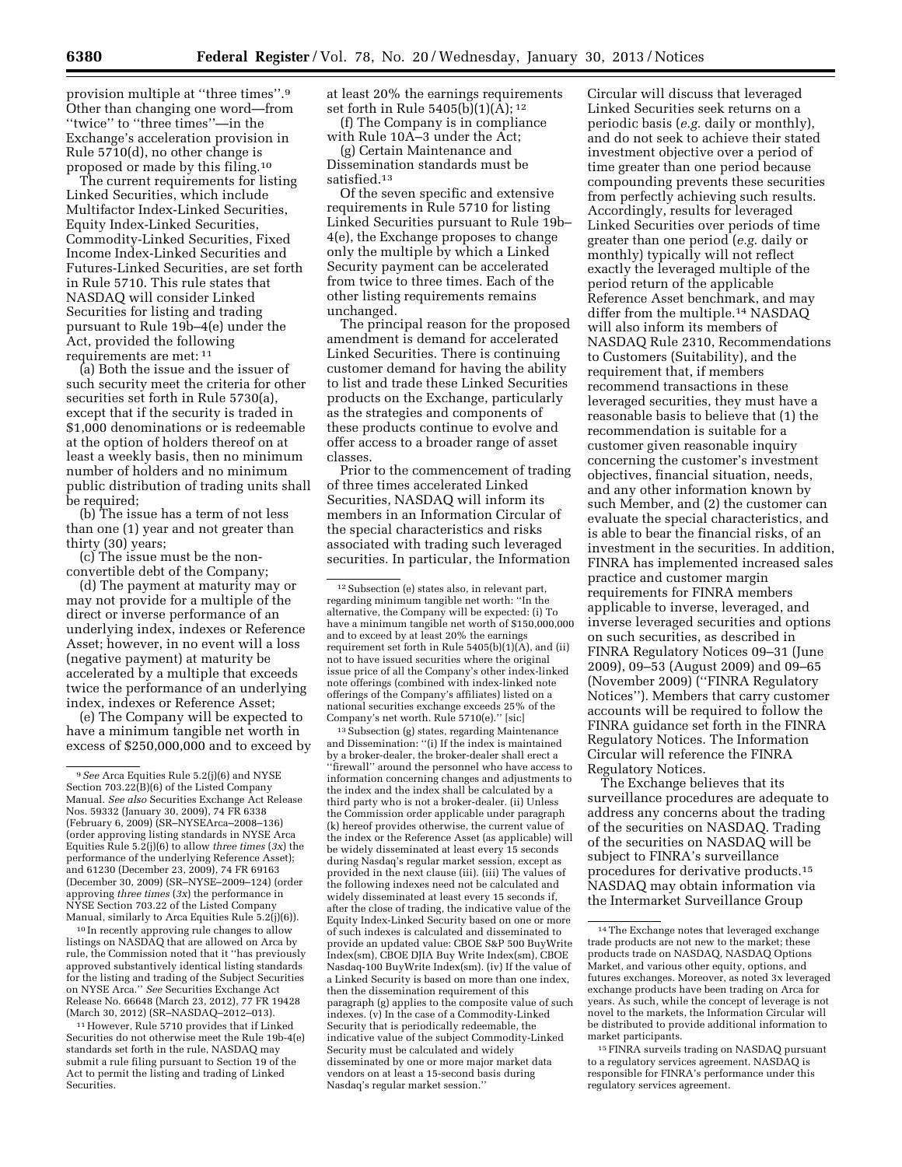provision multiple at ''three times''.9 Other than changing one word—from ''twice'' to ''three times''—in the Exchange's acceleration provision in Rule 5710(d), no other change is proposed or made by this filing.10

The current requirements for listing Linked Securities, which include Multifactor Index-Linked Securities, Equity Index-Linked Securities, Commodity-Linked Securities, Fixed Income Index-Linked Securities and Futures-Linked Securities, are set forth in Rule 5710. This rule states that NASDAQ will consider Linked Securities for listing and trading pursuant to Rule 19b–4(e) under the Act, provided the following requirements are met: 11

(a) Both the issue and the issuer of such security meet the criteria for other securities set forth in Rule 5730(a), except that if the security is traded in \$1,000 denominations or is redeemable at the option of holders thereof on at least a weekly basis, then no minimum number of holders and no minimum public distribution of trading units shall be required;

(b) The issue has a term of not less than one (1) year and not greater than thirty (30) years;

(c) The issue must be the nonconvertible debt of the Company;

(d) The payment at maturity may or may not provide for a multiple of the direct or inverse performance of an underlying index, indexes or Reference Asset; however, in no event will a loss (negative payment) at maturity be accelerated by a multiple that exceeds twice the performance of an underlying index, indexes or Reference Asset;

(e) The Company will be expected to have a minimum tangible net worth in excess of \$250,000,000 and to exceed by

10 In recently approving rule changes to allow listings on NASDAQ that are allowed on Arca by rule, the Commission noted that it ''has previously approved substantively identical listing standards for the listing and trading of the Subject Securities on NYSE Arca.'' *See* Securities Exchange Act Release No. 66648 (March 23, 2012), 77 FR 19428 (March 30, 2012) (SR–NASDAQ–2012–013).

11However, Rule 5710 provides that if Linked Securities do not otherwise meet the Rule 19b-4(e) standards set forth in the rule, NASDAQ may submit a rule filing pursuant to Section 19 of the Act to permit the listing and trading of Linked Securities.

at least 20% the earnings requirements set forth in Rule 5405(b) $(1)(\overline{A})$ ; <sup>12</sup>

(f) The Company is in compliance with Rule 10A–3 under the Act;

(g) Certain Maintenance and Dissemination standards must be satisfied.13

Of the seven specific and extensive requirements in Rule 5710 for listing Linked Securities pursuant to Rule 19b– 4(e), the Exchange proposes to change only the multiple by which a Linked Security payment can be accelerated from twice to three times. Each of the other listing requirements remains unchanged.

The principal reason for the proposed amendment is demand for accelerated Linked Securities. There is continuing customer demand for having the ability to list and trade these Linked Securities products on the Exchange, particularly as the strategies and components of these products continue to evolve and offer access to a broader range of asset classes.

Prior to the commencement of trading of three times accelerated Linked Securities, NASDAQ will inform its members in an Information Circular of the special characteristics and risks associated with trading such leveraged securities. In particular, the Information

13Subsection (g) states, regarding Maintenance and Dissemination: ''(i) If the index is maintained by a broker-dealer, the broker-dealer shall erect a ''firewall'' around the personnel who have access to information concerning changes and adjustments to the index and the index shall be calculated by a third party who is not a broker-dealer. (ii) Unless the Commission order applicable under paragraph (k) hereof provides otherwise, the current value of the index or the Reference Asset (as applicable) will be widely disseminated at least every 15 seconds during Nasdaq's regular market session, except as provided in the next clause (iii). (iii) The values of the following indexes need not be calculated and widely disseminated at least every 15 seconds if, after the close of trading, the indicative value of the Equity Index-Linked Security based on one or more of such indexes is calculated and disseminated to provide an updated value: CBOE S&P 500 BuyWrite Index(sm), CBOE DJIA Buy Write Index(sm), CBOE Nasdaq-100 BuyWrite Index(sm). (iv) If the value of a Linked Security is based on more than one index, then the dissemination requirement of this paragraph (g) applies to the composite value of such indexes. (v) In the case of a Commodity-Linked Security that is periodically redeemable, the indicative value of the subject Commodity-Linked Security must be calculated and widely disseminated by one or more major market data vendors on at least a 15-second basis during Nasdaq's regular market session.''

Circular will discuss that leveraged Linked Securities seek returns on a periodic basis (*e.g.* daily or monthly), and do not seek to achieve their stated investment objective over a period of time greater than one period because compounding prevents these securities from perfectly achieving such results. Accordingly, results for leveraged Linked Securities over periods of time greater than one period (*e.g.* daily or monthly) typically will not reflect exactly the leveraged multiple of the period return of the applicable Reference Asset benchmark, and may differ from the multiple.14 NASDAQ will also inform its members of NASDAQ Rule 2310, Recommendations to Customers (Suitability), and the requirement that, if members recommend transactions in these leveraged securities, they must have a reasonable basis to believe that (1) the recommendation is suitable for a customer given reasonable inquiry concerning the customer's investment objectives, financial situation, needs, and any other information known by such Member, and (2) the customer can evaluate the special characteristics, and is able to bear the financial risks, of an investment in the securities. In addition, FINRA has implemented increased sales practice and customer margin requirements for FINRA members applicable to inverse, leveraged, and inverse leveraged securities and options on such securities, as described in FINRA Regulatory Notices 09–31 (June 2009), 09–53 (August 2009) and 09–65 (November 2009) (''FINRA Regulatory Notices''). Members that carry customer accounts will be required to follow the FINRA guidance set forth in the FINRA Regulatory Notices. The Information Circular will reference the FINRA Regulatory Notices.

The Exchange believes that its surveillance procedures are adequate to address any concerns about the trading of the securities on NASDAQ. Trading of the securities on NASDAQ will be subject to FINRA's surveillance procedures for derivative products.15 NASDAQ may obtain information via the Intermarket Surveillance Group

15FINRA surveils trading on NASDAQ pursuant to a regulatory services agreement. NASDAQ is responsible for FINRA's performance under this regulatory services agreement.

<sup>9</sup>*See* Arca Equities Rule 5.2(j)(6) and NYSE Section 703.22(B)(6) of the Listed Company Manual. *See also* Securities Exchange Act Release Nos. 59332 (January 30, 2009), 74 FR 6338 (February 6, 2009) (SR–NYSEArca–2008–136) (order approving listing standards in NYSE Arca Equities Rule 5.2(j)(6) to allow *three times* (*3x*) the performance of the underlying Reference Asset); and 61230 (December 23, 2009), 74 FR 69163 (December 30, 2009) (SR–NYSE–2009–124) (order approving *three times* (*3x*) the performance in NYSE Section 703.22 of the Listed Company Manual, similarly to Arca Equities Rule 5.2(j)(6)).

<sup>12</sup>Subsection (e) states also, in relevant part, regarding minimum tangible net worth: ''In the alternative, the Company will be expected: (i) To have a minimum tangible net worth of \$150,000,000 and to exceed by at least 20% the earnings requirement set forth in Rule 5405(b)(1)(A), and (ii) not to have issued securities where the original issue price of all the Company's other index-linked note offerings (combined with index-linked note offerings of the Company's affiliates) listed on a national securities exchange exceeds 25% of the Company's net worth. Rule 5710(e).'' [sic]

<sup>14</sup>The Exchange notes that leveraged exchange trade products are not new to the market; these products trade on NASDAQ, NASDAQ Options Market, and various other equity, options, and futures exchanges. Moreover, as noted 3x leveraged exchange products have been trading on Arca for years. As such, while the concept of leverage is not novel to the markets, the Information Circular will be distributed to provide additional information to market participants.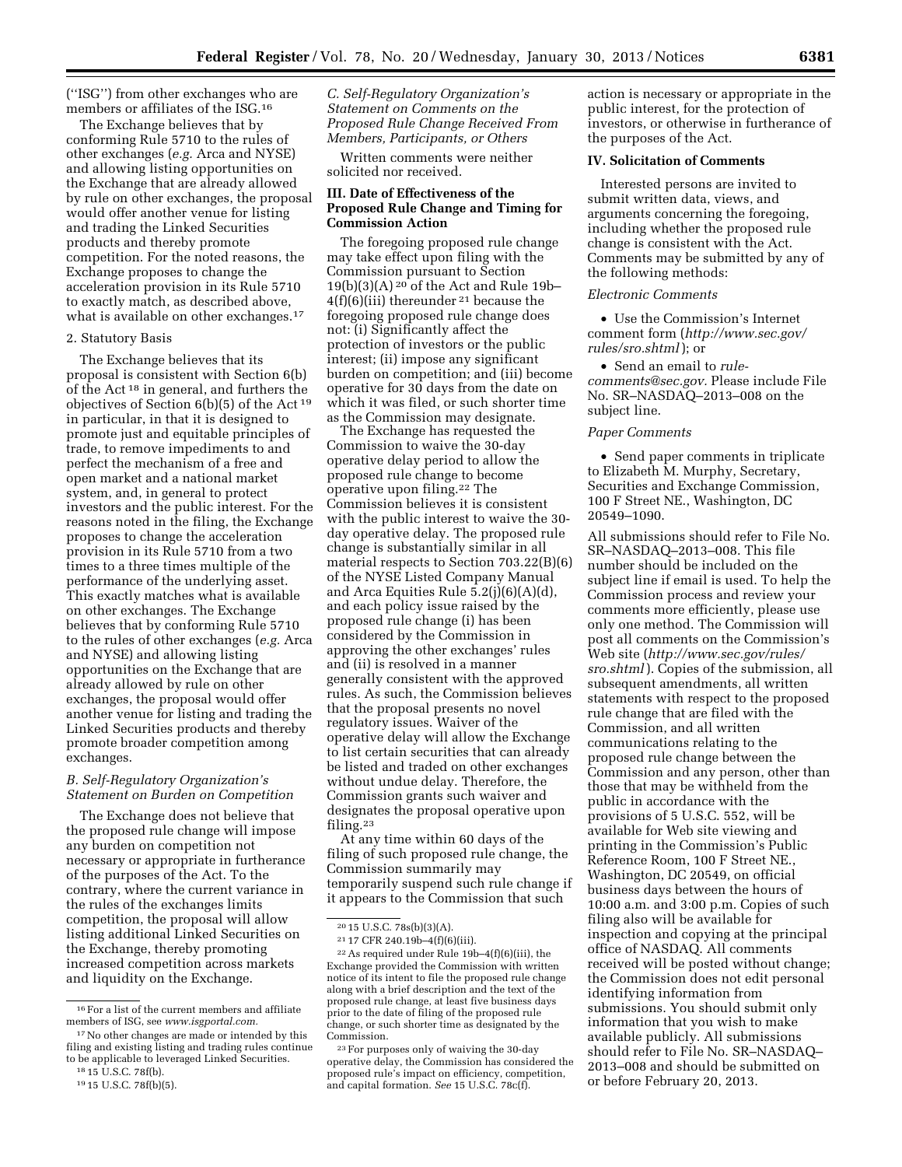(''ISG'') from other exchanges who are members or affiliates of the ISG.16

The Exchange believes that by conforming Rule 5710 to the rules of other exchanges (*e.g.* Arca and NYSE) and allowing listing opportunities on the Exchange that are already allowed by rule on other exchanges, the proposal would offer another venue for listing and trading the Linked Securities products and thereby promote competition. For the noted reasons, the Exchange proposes to change the acceleration provision in its Rule 5710 to exactly match, as described above, what is available on other exchanges.17

#### 2. Statutory Basis

The Exchange believes that its proposal is consistent with Section 6(b) of the Act 18 in general, and furthers the objectives of Section 6(b)(5) of the Act 19 in particular, in that it is designed to promote just and equitable principles of trade, to remove impediments to and perfect the mechanism of a free and open market and a national market system, and, in general to protect investors and the public interest. For the reasons noted in the filing, the Exchange proposes to change the acceleration provision in its Rule 5710 from a two times to a three times multiple of the performance of the underlying asset. This exactly matches what is available on other exchanges. The Exchange believes that by conforming Rule 5710 to the rules of other exchanges (*e.g.* Arca and NYSE) and allowing listing opportunities on the Exchange that are already allowed by rule on other exchanges, the proposal would offer another venue for listing and trading the Linked Securities products and thereby promote broader competition among exchanges.

#### *B. Self-Regulatory Organization's Statement on Burden on Competition*

The Exchange does not believe that the proposed rule change will impose any burden on competition not necessary or appropriate in furtherance of the purposes of the Act. To the contrary, where the current variance in the rules of the exchanges limits competition, the proposal will allow listing additional Linked Securities on the Exchange, thereby promoting increased competition across markets and liquidity on the Exchange.

*C. Self-Regulatory Organization's Statement on Comments on the Proposed Rule Change Received From Members, Participants, or Others* 

Written comments were neither solicited nor received.

### **III. Date of Effectiveness of the Proposed Rule Change and Timing for Commission Action**

The foregoing proposed rule change may take effect upon filing with the Commission pursuant to Section  $19(b)(3)(A)<sup>20</sup>$  of the Act and Rule 19b- $4(f)(6)(iii)$  thereunder <sup>21</sup> because the foregoing proposed rule change does not: (i) Significantly affect the protection of investors or the public interest; (ii) impose any significant burden on competition; and (iii) become operative for 30 days from the date on which it was filed, or such shorter time as the Commission may designate.

The Exchange has requested the Commission to waive the 30-day operative delay period to allow the proposed rule change to become operative upon filing.22 The Commission believes it is consistent with the public interest to waive the 30 day operative delay. The proposed rule change is substantially similar in all material respects to Section 703.22(B)(6) of the NYSE Listed Company Manual and Arca Equities Rule 5.2(j)(6)(A)(d), and each policy issue raised by the proposed rule change (i) has been considered by the Commission in approving the other exchanges' rules and (ii) is resolved in a manner generally consistent with the approved rules. As such, the Commission believes that the proposal presents no novel regulatory issues. Waiver of the operative delay will allow the Exchange to list certain securities that can already be listed and traded on other exchanges without undue delay. Therefore, the Commission grants such waiver and designates the proposal operative upon filing.23

At any time within 60 days of the filing of such proposed rule change, the Commission summarily may temporarily suspend such rule change if it appears to the Commission that such

action is necessary or appropriate in the public interest, for the protection of investors, or otherwise in furtherance of the purposes of the Act.

## **IV. Solicitation of Comments**

Interested persons are invited to submit written data, views, and arguments concerning the foregoing, including whether the proposed rule change is consistent with the Act. Comments may be submitted by any of the following methods:

#### *Electronic Comments*

• Use the Commission's Internet comment form (*[http://www.sec.gov/](http://www.sec.gov/rules/sro.shtml)  [rules/sro.shtml](http://www.sec.gov/rules/sro.shtml)* ); or

• Send an email to *[rule](mailto:torule-comments@sec.gov)[comments@sec.gov.](mailto:torule-comments@sec.gov)* Please include File No. SR–NASDAQ–2013–008 on the subject line.

#### *Paper Comments*

• Send paper comments in triplicate to Elizabeth M. Murphy, Secretary, Securities and Exchange Commission, 100 F Street NE., Washington, DC 20549–1090.

All submissions should refer to File No. SR–NASDAQ–2013–008. This file number should be included on the subject line if email is used. To help the Commission process and review your comments more efficiently, please use only one method. The Commission will post all comments on the Commission's Web site (*[http://www.sec.gov/rules/](http://www.sec.gov/rules/sro.shtml) [sro.shtml](http://www.sec.gov/rules/sro.shtml)* ). Copies of the submission, all subsequent amendments, all written statements with respect to the proposed rule change that are filed with the Commission, and all written communications relating to the proposed rule change between the Commission and any person, other than those that may be withheld from the public in accordance with the provisions of 5 U.S.C. 552, will be available for Web site viewing and printing in the Commission's Public Reference Room, 100 F Street NE., Washington, DC 20549, on official business days between the hours of 10:00 a.m. and 3:00 p.m. Copies of such filing also will be available for inspection and copying at the principal office of NASDAQ. All comments received will be posted without change; the Commission does not edit personal identifying information from submissions. You should submit only information that you wish to make available publicly. All submissions should refer to File No. SR–NASDAQ– 2013–008 and should be submitted on or before February 20, 2013.

<sup>16</sup>For a list of the current members and affiliate members of ISG, see *[www.isgportal.com.](http://www.isgportal.com)* 

<sup>&</sup>lt;sup>17</sup> No other changes are made or intended by this filing and existing listing and trading rules continue to be applicable to leveraged Linked Securities.

<sup>18</sup> 15 U.S.C. 78f(b).

<sup>19</sup> 15 U.S.C. 78f(b)(5).

 $20$  15 U.S.C. 78s(b)(3)(A).

<sup>21</sup> 17 CFR 240.19b–4(f)(6)(iii).

<sup>22</sup>As required under Rule 19b–4(f)(6)(iii), the Exchange provided the Commission with written notice of its intent to file the proposed rule change along with a brief description and the text of the proposed rule change, at least five business days prior to the date of filing of the proposed rule change, or such shorter time as designated by the Commission.

<sup>23</sup>For purposes only of waiving the 30-day operative delay, the Commission has considered the proposed rule's impact on efficiency, competition, and capital formation. *See* 15 U.S.C. 78c(f).